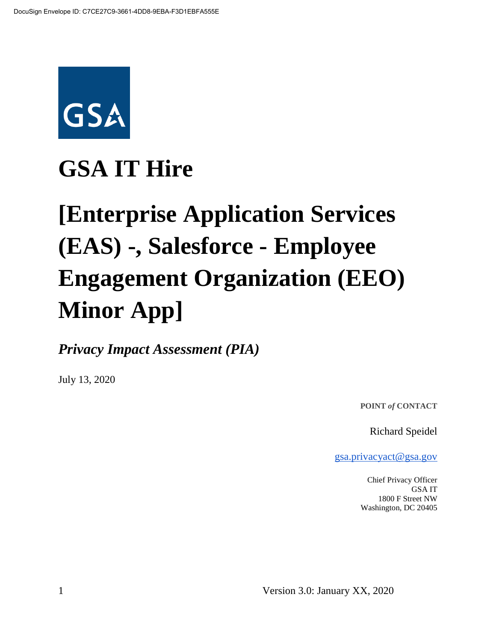

## **GSA IT Hire**

# **[Enterprise Application Services (EAS) -, Salesforce - Employee Engagement Organization (EEO) Minor App]**

*Privacy Impact Assessment (PIA)*

July 13, 2020

**POINT** *of* **CONTACT**

Richard Speidel

[gsa.privacyact@gsa.gov](mailto:gsa.privacyact@gsa.gov)

Chief Privacy Officer GSA IT 1800 F Street NW Washington, DC 20405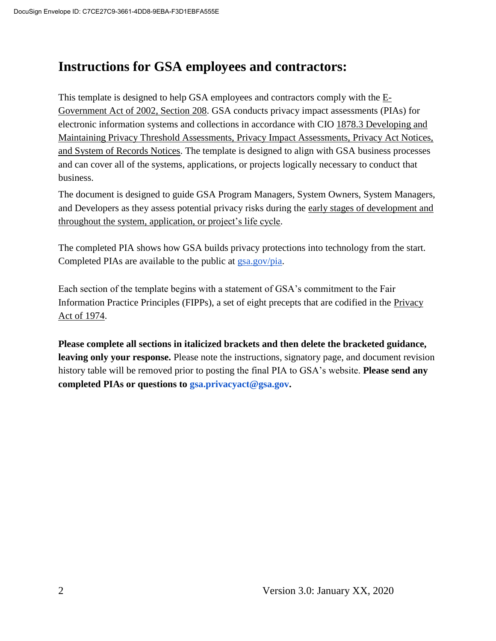## **Instructions for GSA employees and contractors:**

This t[e](https://www.justice.gov/opcl/e-government-act-2002)mplate is designed to help GSA employees and contractors comply with the  $E$ -[Government Act of 2002, Section 208.](https://www.justice.gov/opcl/e-government-act-2002) GSA conducts privacy impact assessments (PIAs) for electronic information systems and collections in accordance with [CIO 1878.3 Developing and](https://insite.gsa.gov/directives-library/developing-and-maintaining-privacy-threshold-assessments-privacy-impact-assessments-privacy-act-notices-and-system-of-records-notices-18783-cio)  [Maintaining Privacy Threshold Assessments, Privacy Impact Assessments, Privacy Act Notices,](https://insite.gsa.gov/directives-library/developing-and-maintaining-privacy-threshold-assessments-privacy-impact-assessments-privacy-act-notices-and-system-of-records-notices-18783-cio)  [and System of Records Notices.](https://insite.gsa.gov/directives-library/developing-and-maintaining-privacy-threshold-assessments-privacy-impact-assessments-privacy-act-notices-and-system-of-records-notices-18783-cio) The template is designed to align with GSA business processes and can cover all of the systems, applications, or projects logically necessary to conduct that business.

The document is designed to guide GSA Program Managers, System Owners, System Managers, and Developers as they assess potential privacy risks during th[e](https://insite.gsa.gov/cdnstatic/insite/Managing_Enterprise_Risk_%5BCIO_IT_Security_06-30_Rev_14%5D_02-01-2019.pdf) [early stages of development and](https://insite.gsa.gov/cdnstatic/insite/Managing_Enterprise_Risk_%5BCIO_IT_Security_06-30_Rev_14%5D_02-01-2019.pdf)  [throughout the system, application, or project's life cycle.](https://insite.gsa.gov/cdnstatic/insite/Managing_Enterprise_Risk_%5BCIO_IT_Security_06-30_Rev_14%5D_02-01-2019.pdf)

The completed PIA shows how GSA builds privacy protections into technology from the start. Completed PIAs are available to the public at [gsa.gov/pia.](https://www.gsa.gov/reference/gsa-privacy-program/privacy-impact-assessments-pia)

Each section of the template begins with a statement of GSA's commitment to the Fair Information Practice Principles (FIPPs), a set of eight precepts that are codified in the [Privacy](https://www.justice.gov/opcl/policy-objectives)  [Act of 1974.](https://www.justice.gov/opcl/policy-objectives)

**Please complete all sections in italicized brackets and then delete the bracketed guidance, leaving only your response.** Please note the instructions, signatory page, and document revision history table will be removed prior to posting the final PIA to GSA's website. **Please send any completed PIAs or questions to gsa.privacyact@gsa.gov.**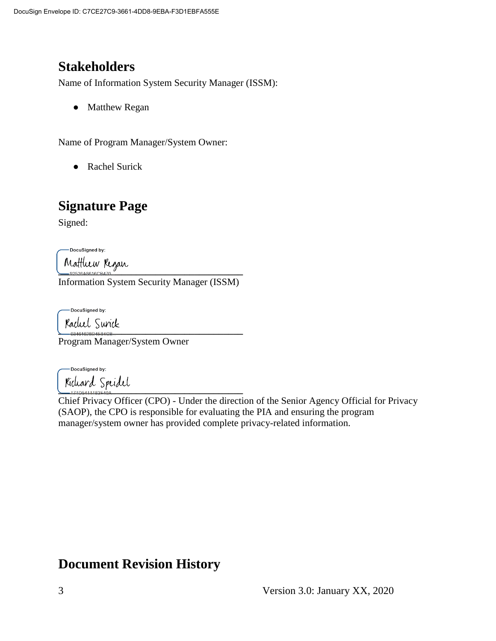## **Stakeholders**

Name of Information System Security Manager (ISSM):

• Matthew Regan

Name of Program Manager/System Owner:

● Rachel Surick

## **Signature Page**

Signed:

DocuSigned by:

**\_\_\_\_\_\_\_\_\_\_\_\_\_\_\_\_\_\_\_\_\_\_\_\_\_\_\_\_\_\_\_\_\_\_\_\_\_\_**

Information System Security Manager (ISSM)

DocuSigned by:

**\_\_\_\_\_\_\_\_\_\_\_\_\_\_\_\_\_\_\_\_\_\_\_\_\_\_\_\_\_\_\_\_\_\_\_\_\_\_**

Program Manager/System Owner

-DocuSigned by: **\_\_\_\_\_\_\_\_\_\_\_\_\_\_\_\_\_\_\_\_\_\_\_\_\_\_\_\_\_\_\_\_\_\_\_\_\_\_**

Chief Privacy Officer (CPO) - Under the direction of the Senior Agency Official for Privacy (SAOP), the CPO is responsible for evaluating the PIA and ensuring the program manager/system owner has provided complete privacy-related information.

### **Document Revision History**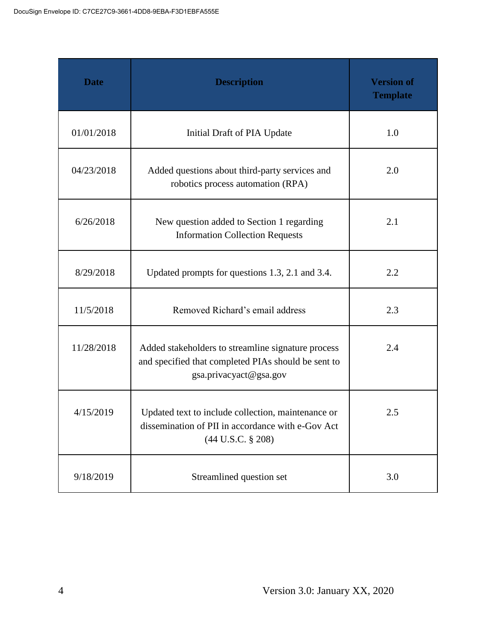| <b>Date</b> | <b>Description</b>                                                                                                                  | <b>Version of</b><br><b>Template</b> |
|-------------|-------------------------------------------------------------------------------------------------------------------------------------|--------------------------------------|
| 01/01/2018  | Initial Draft of PIA Update                                                                                                         | 1.0                                  |
| 04/23/2018  | Added questions about third-party services and<br>robotics process automation (RPA)                                                 | 2.0                                  |
| 6/26/2018   | New question added to Section 1 regarding<br><b>Information Collection Requests</b>                                                 | 2.1                                  |
| 8/29/2018   | Updated prompts for questions 1.3, 2.1 and 3.4.                                                                                     | 2.2                                  |
| 11/5/2018   | Removed Richard's email address                                                                                                     | 2.3                                  |
| 11/28/2018  | Added stakeholders to streamline signature process<br>and specified that completed PIAs should be sent to<br>gsa.privacyact@gsa.gov | 2.4                                  |
| 4/15/2019   | Updated text to include collection, maintenance or<br>dissemination of PII in accordance with e-Gov Act<br>$(44$ U.S.C. § 208)      | 2.5                                  |
| 9/18/2019   | Streamlined question set                                                                                                            | 3.0                                  |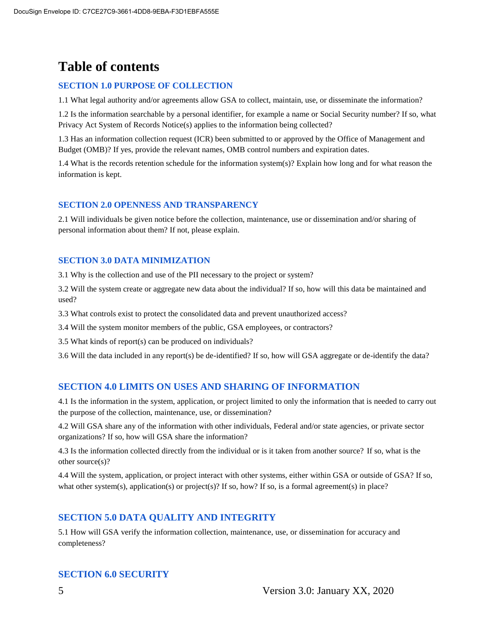## **Table of contents**

#### **SECTION 1.0 PURPOSE OF COLLECTION**

1.1 What legal authority and/or agreements allow GSA to collect, maintain, use, or disseminate the information?

1.2 Is the information searchable by a personal identifier, for example a name or Social Security number? If so, what Privacy Act System of Records Notice(s) applies to the information being collected?

1.3 Has an information collection request (ICR) been submitted to or approved by the Office of Management and Budget (OMB)? If yes, provide the relevant names, OMB control numbers and expiration dates.

1.4 What is the records retention schedule for the information system(s)? Explain how long and for what reason the information is kept.

#### **SECTION 2.0 OPENNESS AND TRANSPARENCY**

2.1 Will individuals be given notice before the collection, maintenance, use or dissemination and/or sharing of personal information about them? If not, please explain.

#### **SECTION 3.0 DATA MINIMIZATION**

3.1 Why is the collection and use of the PII necessary to the project or system?

3.2 Will the system create or aggregate new data about the individual? If so, how will this data be maintained and used?

3.3 What controls exist to protect the consolidated data and prevent unauthorized access?

3.4 Will the system monitor members of the public, GSA employees, or contractors?

3.5 What kinds of report(s) can be produced on individuals?

3.6 Will the data included in any report(s) be de-identified? If so, how will GSA aggregate or de-identify the data?

#### **SECTION 4.0 LIMITS ON USES AND SHARING OF INFORMATION**

4.1 Is the information in the system, application, or project limited to only the information that is needed to carry out the purpose of the collection, maintenance, use, or dissemination?

4.2 Will GSA share any of the information with other individuals, Federal and/or state agencies, or private sector organizations? If so, how will GSA share the information?

4.3 Is the information collected directly from the individual or is it taken from another source? If so, what is the other source(s)?

4.4 Will the system, application, or project interact with other systems, either within GSA or outside of GSA? If so, what other system(s), application(s) or project(s)? If so, how? If so, is a formal agreement(s) in place?

#### **SECTION 5.0 DATA QUALITY AND INTEGRITY**

5.1 How will GSA verify the information collection, maintenance, use, or dissemination for accuracy and completeness?

#### **SECTION 6.0 SECURITY**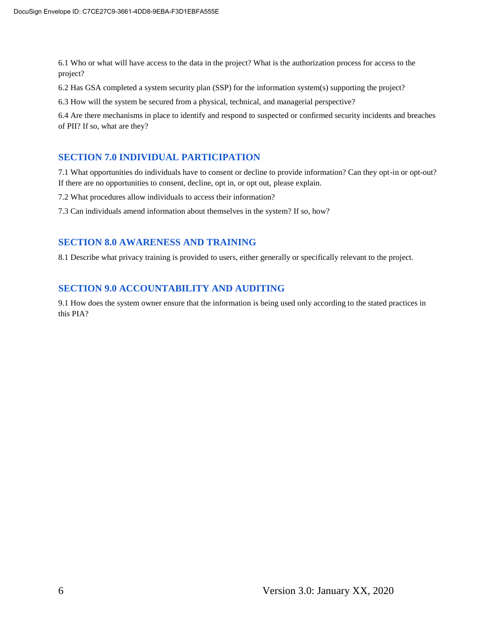6.1 Who or what will have access to the data in the project? What is the authorization process for access to the project?

6.2 Has GSA completed a system security plan (SSP) for the information system(s) supporting the project?

6.3 How will the system be secured from a physical, technical, and managerial perspective?

6.4 Are there mechanisms in place to identify and respond to suspected or confirmed security incidents and breaches of PII? If so, what are they?

#### **SECTION 7.0 INDIVIDUAL PARTICIPATION**

7.1 What opportunities do individuals have to consent or decline to provide information? Can they opt-in or opt-out? If there are no opportunities to consent, decline, opt in, or opt out, please explain.

7.2 What procedures allow individuals to access their information?

7.3 Can individuals amend information about themselves in the system? If so, how?

#### **SECTION 8.0 AWARENESS AND TRAINING**

8.1 Describe what privacy training is provided to users, either generally or specifically relevant to the project.

#### **SECTION 9.0 ACCOUNTABILITY AND AUDITING**

9.1 How does the system owner ensure that the information is being used only according to the stated practices in this PIA?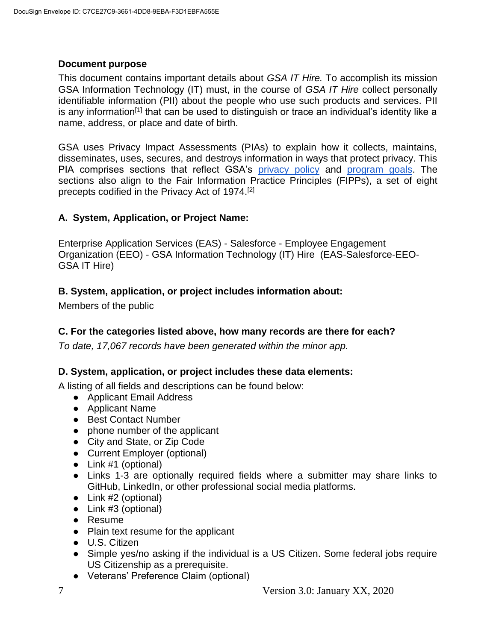#### **Document purpose**

This document contains important details about *GSA IT Hire.* To accomplish its mission GSA Information Technology (IT) must, in the course of *GSA IT Hire* collect personally identifiable information (PII) about the people who use such products and services. PII is any information<sup>[1]</sup> that can be used to distinguish or trace an individual's identity like a name, address, or place and date of birth.

GSA uses Privacy Impact Assessments (PIAs) to explain how it collects, maintains, disseminates, uses, secures, and destroys information in ways that protect privacy. This PIA comprises sections that reflect GSA's [privacy policy](https://www.gsa.gov/website-information/privacy-and-security-notice) an[d](https://www.gsa.gov/portal/category/21419) [program goals.](https://www.gsa.gov/portal/category/21419) The sections also align to the Fair Information Practice Principles (FIPPs), a set of eight precepts codified in the Privacy Act of 1974.[2]

#### **A. System, Application, or Project Name:**

Enterprise Application Services (EAS) - Salesforce - Employee Engagement Organization (EEO) - GSA Information Technology (IT) Hire (EAS-Salesforce-EEO-GSA IT Hire)

#### **B. System, application, or project includes information about:**

Members of the public

#### **C. For the categories listed above, how many records are there for each?**

*To date, 17,067 records have been generated within the minor app.*

#### **D. System, application, or project includes these data elements:**

A listing of all fields and descriptions can be found below:

- Applicant Email Address
- Applicant Name
- Best Contact Number
- phone number of the applicant
- City and State, or Zip Code
- Current Employer (optional)
- Link #1 (optional)
- Links 1-3 are optionally required fields where a submitter may share links to GitHub, LinkedIn, or other professional social media platforms.
- Link #2 (optional)
- Link #3 (optional)
- Resume
- Plain text resume for the applicant
- U.S. Citizen
- Simple yes/no asking if the individual is a US Citizen. Some federal jobs require US Citizenship as a prerequisite.
- Veterans' Preference Claim (optional)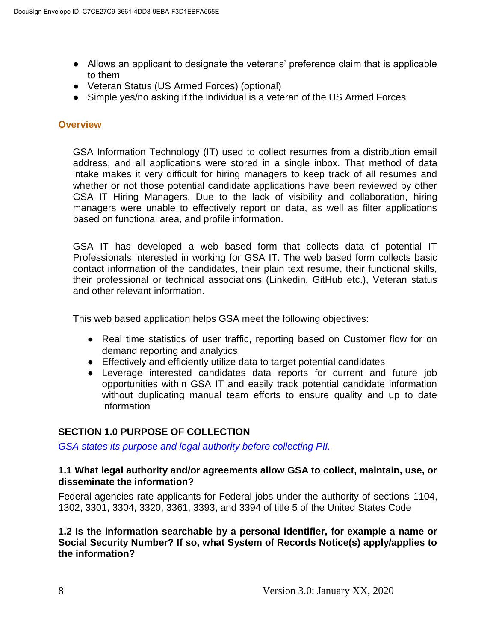- Allows an applicant to designate the veterans' preference claim that is applicable to them
- Veteran Status (US Armed Forces) (optional)
- Simple yes/no asking if the individual is a veteran of the US Armed Forces

#### **Overview**

GSA Information Technology (IT) used to collect resumes from a distribution email address, and all applications were stored in a single inbox. That method of data intake makes it very difficult for hiring managers to keep track of all resumes and whether or not those potential candidate applications have been reviewed by other GSA IT Hiring Managers. Due to the lack of visibility and collaboration, hiring managers were unable to effectively report on data, as well as filter applications based on functional area, and profile information.

GSA IT has developed a web based form that collects data of potential IT Professionals interested in working for GSA IT. The web based form collects basic contact information of the candidates, their plain text resume, their functional skills, their professional or technical associations (Linkedin, GitHub etc.), Veteran status and other relevant information.

This web based application helps GSA meet the following objectives:

- Real time statistics of user traffic, reporting based on Customer flow for on demand reporting and analytics
- Effectively and efficiently utilize data to target potential candidates
- Leverage interested candidates data reports for current and future job opportunities within GSA IT and easily track potential candidate information without duplicating manual team efforts to ensure quality and up to date information

#### **SECTION 1.0 PURPOSE OF COLLECTION**

*GSA states its purpose and legal authority before collecting PII.*

#### **1.1 What legal authority and/or agreements allow GSA to collect, maintain, use, or disseminate the information?**

Federal agencies rate applicants for Federal jobs under the authority of sections 1104, 1302, 3301, 3304, 3320, 3361, 3393, and 3394 of title 5 of the United States Code

#### **1.2 Is the information searchable by a personal identifier, for example a name or Social Security Number? If so, what System of Records Notice(s) apply/applies to the information?**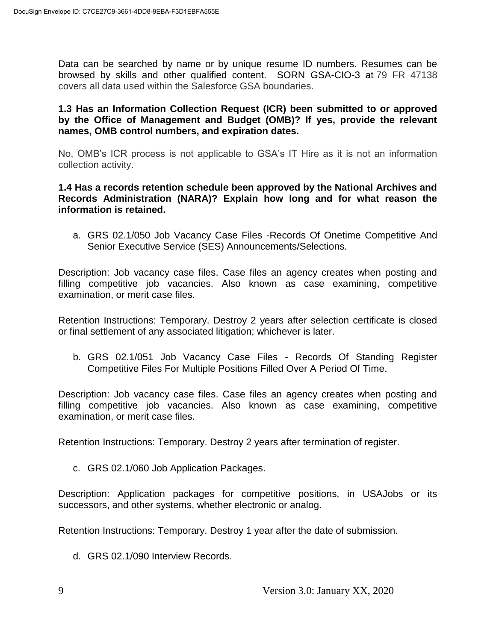Data can be searched by name or by unique resume ID numbers. Resumes can be browsed by skills and other qualified content. SORN GSA-CIO-3 at 79 FR 47138 covers all data used within the Salesforce GSA boundaries.

#### **1.3 Has an Information Collection Request (ICR) been submitted to or approved by the Office of Management and Budget (OMB)? If yes, provide the relevant names, OMB control numbers, and expiration dates.**

No, OMB's ICR process is not applicable to GSA's IT Hire as it is not an information collection activity.

#### **1.4 Has a records retention schedule been approved by the National Archives and Records Administration (NARA)? Explain how long and for what reason the information is retained.**

a. GRS 02.1/050 Job Vacancy Case Files -Records Of Onetime Competitive And Senior Executive Service (SES) Announcements/Selections.

Description: Job vacancy case files. Case files an agency creates when posting and filling competitive job vacancies. Also known as case examining, competitive examination, or merit case files.

Retention Instructions: Temporary. Destroy 2 years after selection certificate is closed or final settlement of any associated litigation; whichever is later.

b. GRS 02.1/051 Job Vacancy Case Files - Records Of Standing Register Competitive Files For Multiple Positions Filled Over A Period Of Time.

Description: Job vacancy case files. Case files an agency creates when posting and filling competitive job vacancies. Also known as case examining, competitive examination, or merit case files.

Retention Instructions: Temporary. Destroy 2 years after termination of register.

c. GRS 02.1/060 Job Application Packages.

Description: Application packages for competitive positions, in USAJobs or its successors, and other systems, whether electronic or analog.

Retention Instructions: Temporary. Destroy 1 year after the date of submission.

d. GRS 02.1/090 Interview Records.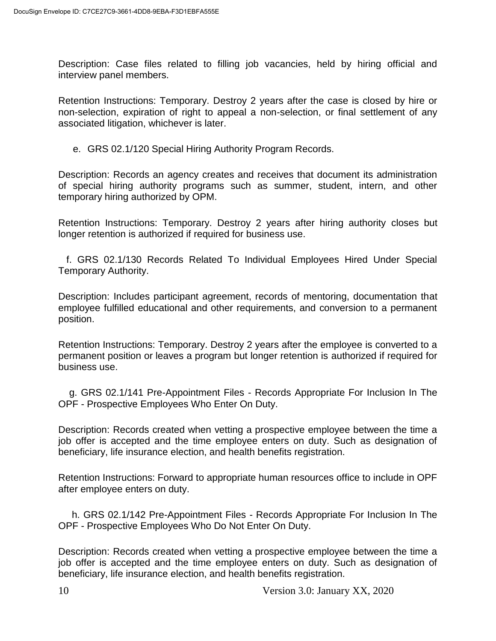Description: Case files related to filling job vacancies, held by hiring official and interview panel members.

Retention Instructions: Temporary. Destroy 2 years after the case is closed by hire or non-selection, expiration of right to appeal a non-selection, or final settlement of any associated litigation, whichever is later.

e. GRS 02.1/120 Special Hiring Authority Program Records.

Description: Records an agency creates and receives that document its administration of special hiring authority programs such as summer, student, intern, and other temporary hiring authorized by OPM.

Retention Instructions: Temporary. Destroy 2 years after hiring authority closes but longer retention is authorized if required for business use.

 f. GRS 02.1/130 Records Related To Individual Employees Hired Under Special Temporary Authority.

Description: Includes participant agreement, records of mentoring, documentation that employee fulfilled educational and other requirements, and conversion to a permanent position.

Retention Instructions: Temporary. Destroy 2 years after the employee is converted to a permanent position or leaves a program but longer retention is authorized if required for business use.

 g. GRS 02.1/141 Pre-Appointment Files - Records Appropriate For Inclusion In The OPF - Prospective Employees Who Enter On Duty.

Description: Records created when vetting a prospective employee between the time a job offer is accepted and the time employee enters on duty. Such as designation of beneficiary, life insurance election, and health benefits registration.

Retention Instructions: Forward to appropriate human resources office to include in OPF after employee enters on duty.

 h. GRS 02.1/142 Pre-Appointment Files - Records Appropriate For Inclusion In The OPF - Prospective Employees Who Do Not Enter On Duty.

Description: Records created when vetting a prospective employee between the time a job offer is accepted and the time employee enters on duty. Such as designation of beneficiary, life insurance election, and health benefits registration.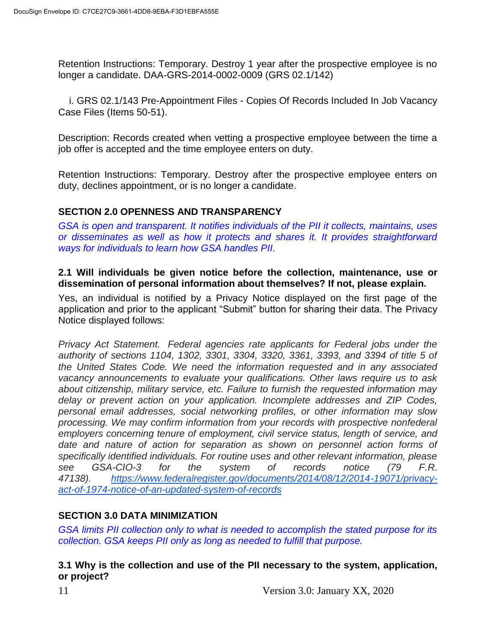Retention Instructions: Temporary. Destroy 1 year after the prospective employee is no longer a candidate. DAA-GRS-2014-0002-0009 (GRS 02.1/142)

 i. GRS 02.1/143 Pre-Appointment Files - Copies Of Records Included In Job Vacancy Case Files (Items 50-51).

Description: Records created when vetting a prospective employee between the time a job offer is accepted and the time employee enters on duty.

Retention Instructions: Temporary. Destroy after the prospective employee enters on duty, declines appointment, or is no longer a candidate.

#### **SECTION 2.0 OPENNESS AND TRANSPARENCY**

*GSA is open and transparent. It notifies individuals of the PII it collects, maintains, uses or disseminates as well as how it protects and shares it. It provides straightforward ways for individuals to learn how GSA handles PII.*

#### **2.1 Will individuals be given notice before the collection, maintenance, use or dissemination of personal information about themselves? If not, please explain.**

Yes, an individual is notified by a Privacy Notice displayed on the first page of the application and prior to the applicant "Submit" button for sharing their data. The Privacy Notice displayed follows:

*Privacy Act Statement. Federal agencies rate applicants for Federal jobs under the authority of sections 1104, 1302, 3301, 3304, 3320, 3361, 3393, and 3394 of title 5 of the United States Code. We need the information requested and in any associated vacancy announcements to evaluate your qualifications. Other laws require us to ask about citizenship, military service, etc. Failure to furnish the requested information may delay or prevent action on your application. Incomplete addresses and ZIP Codes, personal email addresses, social networking profiles, or other information may slow processing. We may confirm information from your records with prospective nonfederal employers concerning tenure of employment, civil service status, length of service, and date and nature of action for separation as shown on personnel action forms of specifically identified individuals. For routine uses and other relevant information, please see GSA-CIO-3 for the system of records notice (79 F.R. 47138). [https://www.federalregister.gov/documents/2014/08/12/2014-19071/privacy](https://www.federalregister.gov/documents/2014/08/12/2014-19071/privacy-act-of-1974-notice-of-an-updated-system-of-records)[act-of-1974-notice-of-an-updated-system-of-records](https://www.federalregister.gov/documents/2014/08/12/2014-19071/privacy-act-of-1974-notice-of-an-updated-system-of-records)*

#### **SECTION 3.0 DATA MINIMIZATION**

*GSA limits PII collection only to what is needed to accomplish the stated purpose for its collection. GSA keeps PII only as long as needed to fulfill that purpose.*

#### **3.1 Why is the collection and use of the PII necessary to the system, application, or project?**

11 Version 3.0: January XX, 2020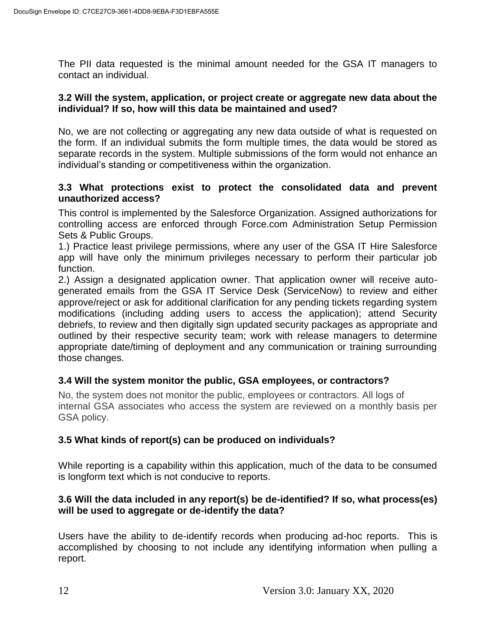The PII data requested is the minimal amount needed for the GSA IT managers to contact an individual.

#### **3.2 Will the system, application, or project create or aggregate new data about the individual? If so, how will this data be maintained and used?**

No, we are not collecting or aggregating any new data outside of what is requested on the form. If an individual submits the form multiple times, the data would be stored as separate records in the system. Multiple submissions of the form would not enhance an individual's standing or competitiveness within the organization.

#### **3.3 What protections exist to protect the consolidated data and prevent unauthorized access?**

This control is implemented by the Salesforce Organization. Assigned authorizations for controlling access are enforced through Force.com Administration Setup Permission Sets & Public Groups.

1.) Practice least privilege permissions, where any user of the GSA IT Hire Salesforce app will have only the minimum privileges necessary to perform their particular job function.

2.) Assign a designated application owner. That application owner will receive autogenerated emails from the GSA IT Service Desk (ServiceNow) to review and either approve/reject or ask for additional clarification for any pending tickets regarding system modifications (including adding users to access the application); attend Security debriefs, to review and then digitally sign updated security packages as appropriate and outlined by their respective security team; work with release managers to determine appropriate date/timing of deployment and any communication or training surrounding those changes.

#### **3.4 Will the system monitor the public, GSA employees, or contractors?**

No, the system does not monitor the public, employees or contractors. All logs of internal GSA associates who access the system are reviewed on a monthly basis per GSA policy.

#### **3.5 What kinds of report(s) can be produced on individuals?**

While reporting is a capability within this application, much of the data to be consumed is longform text which is not conducive to reports.

#### **3.6 Will the data included in any report(s) be de-identified? If so, what process(es) will be used to aggregate or de-identify the data?**

Users have the ability to de-identify records when producing ad-hoc reports. This is accomplished by choosing to not include any identifying information when pulling a report.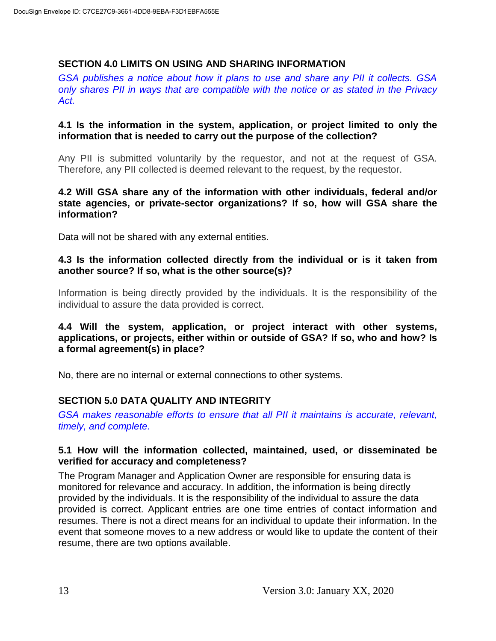#### **SECTION 4.0 LIMITS ON USING AND SHARING INFORMATION**

*GSA publishes a notice about how it plans to use and share any PII it collects. GSA only shares PII in ways that are compatible with the notice or as stated in the Privacy Act.*

#### **4.1 Is the information in the system, application, or project limited to only the information that is needed to carry out the purpose of the collection?**

Any PII is submitted voluntarily by the requestor, and not at the request of GSA. Therefore, any PII collected is deemed relevant to the request, by the requestor.

#### **4.2 Will GSA share any of the information with other individuals, federal and/or state agencies, or private-sector organizations? If so, how will GSA share the information?**

Data will not be shared with any external entities.

#### **4.3 Is the information collected directly from the individual or is it taken from another source? If so, what is the other source(s)?**

Information is being directly provided by the individuals. It is the responsibility of the individual to assure the data provided is correct.

#### **4.4 Will the system, application, or project interact with other systems, applications, or projects, either within or outside of GSA? If so, who and how? Is a formal agreement(s) in place?**

No, there are no internal or external connections to other systems.

#### **SECTION 5.0 DATA QUALITY AND INTEGRITY**

*GSA makes reasonable efforts to ensure that all PII it maintains is accurate, relevant, timely, and complete.*

#### **5.1 How will the information collected, maintained, used, or disseminated be verified for accuracy and completeness?**

The Program Manager and Application Owner are responsible for ensuring data is monitored for relevance and accuracy. In addition, the information is being directly provided by the individuals. It is the responsibility of the individual to assure the data provided is correct. Applicant entries are one time entries of contact information and resumes. There is not a direct means for an individual to update their information. In the event that someone moves to a new address or would like to update the content of their resume, there are two options available.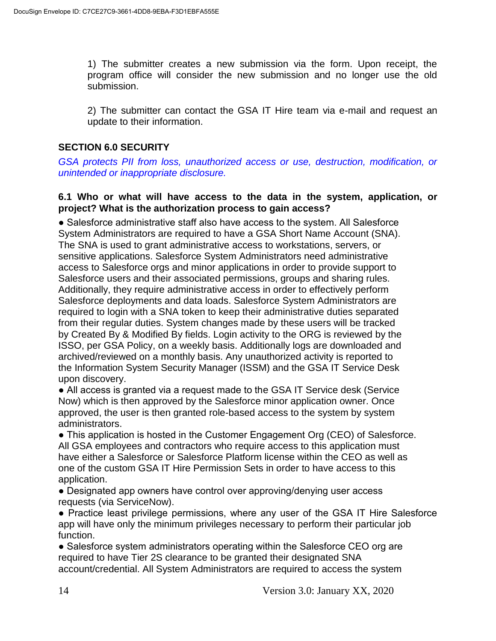1) The submitter creates a new submission via the form. Upon receipt, the program office will consider the new submission and no longer use the old submission.

2) The submitter can contact the GSA IT Hire team via e-mail and request an update to their information.

#### **SECTION 6.0 SECURITY**

*GSA protects PII from loss, unauthorized access or use, destruction, modification, or unintended or inappropriate disclosure.*

#### **6.1 Who or what will have access to the data in the system, application, or project? What is the authorization process to gain access?**

● Salesforce administrative staff also have access to the system. All Salesforce System Administrators are required to have a GSA Short Name Account (SNA). The SNA is used to grant administrative access to workstations, servers, or sensitive applications. Salesforce System Administrators need administrative access to Salesforce orgs and minor applications in order to provide support to Salesforce users and their associated permissions, groups and sharing rules. Additionally, they require administrative access in order to effectively perform Salesforce deployments and data loads. Salesforce System Administrators are required to login with a SNA token to keep their administrative duties separated from their regular duties. System changes made by these users will be tracked by Created By & Modified By fields. Login activity to the ORG is reviewed by the ISSO, per GSA Policy, on a weekly basis. Additionally logs are downloaded and archived/reviewed on a monthly basis. Any unauthorized activity is reported to the Information System Security Manager (ISSM) and the GSA IT Service Desk upon discovery.

● All access is granted via a request made to the GSA IT Service desk (Service Now) which is then approved by the Salesforce minor application owner. Once approved, the user is then granted role-based access to the system by system administrators.

● This application is hosted in the Customer Engagement Org (CEO) of Salesforce. All GSA employees and contractors who require access to this application must have either a Salesforce or Salesforce Platform license within the CEO as well as one of the custom GSA IT Hire Permission Sets in order to have access to this application.

• Designated app owners have control over approving/denying user access requests (via ServiceNow).

● Practice least privilege permissions, where any user of the GSA IT Hire Salesforce app will have only the minimum privileges necessary to perform their particular job function.

• Salesforce system administrators operating within the Salesforce CEO org are required to have Tier 2S clearance to be granted their designated SNA account/credential. All System Administrators are required to access the system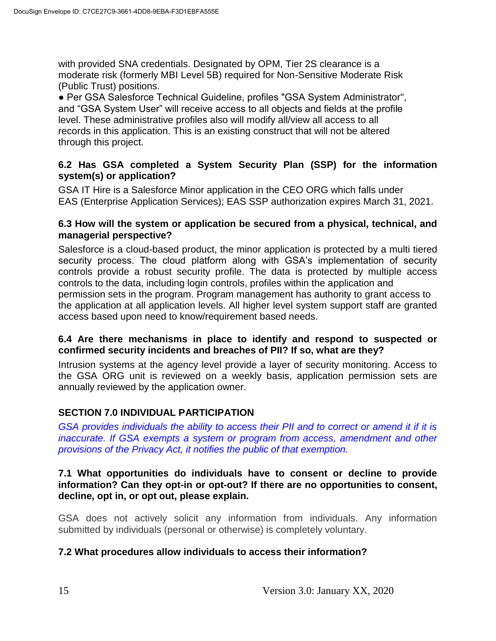with provided SNA credentials. Designated by OPM, Tier 2S clearance is a moderate risk (formerly MBI Level 5B) required for Non-Sensitive Moderate Risk (Public Trust) positions.

● Per GSA Salesforce Technical Guideline, profiles "GSA System Administrator", and "GSA System User" will receive access to all objects and fields at the profile level. These administrative profiles also will modify all/view all access to all records in this application. This is an existing construct that will not be altered through this project.

#### **6.2 Has GSA completed a System Security Plan (SSP) for the information system(s) or application?**

GSA IT Hire is a Salesforce Minor application in the CEO ORG which falls under EAS (Enterprise Application Services); EAS SSP authorization expires March 31, 2021.

#### **6.3 How will the system or application be secured from a physical, technical, and managerial perspective?**

Salesforce is a cloud-based product, the minor application is protected by a multi tiered security process. The cloud platform along with GSA's implementation of security controls provide a robust security profile. The data is protected by multiple access controls to the data, including login controls, profiles within the application and permission sets in the program. Program management has authority to grant access to the application at all application levels. All higher level system support staff are granted access based upon need to know/requirement based needs.

#### **6.4 Are there mechanisms in place to identify and respond to suspected or confirmed security incidents and breaches of PII? If so, what are they?**

Intrusion systems at the agency level provide a layer of security monitoring. Access to the GSA ORG unit is reviewed on a weekly basis, application permission sets are annually reviewed by the application owner.

#### **SECTION 7.0 INDIVIDUAL PARTICIPATION**

*GSA provides individuals the ability to access their PII and to correct or amend it if it is inaccurate. If GSA exempts a system or program from access, amendment and other provisions of the Privacy Act, it notifies the public of that exemption.*

#### **7.1 What opportunities do individuals have to consent or decline to provide information? Can they opt-in or opt-out? If there are no opportunities to consent, decline, opt in, or opt out, please explain.**

GSA does not actively solicit any information from individuals. Any information submitted by individuals (personal or otherwise) is completely voluntary.

#### **7.2 What procedures allow individuals to access their information?**